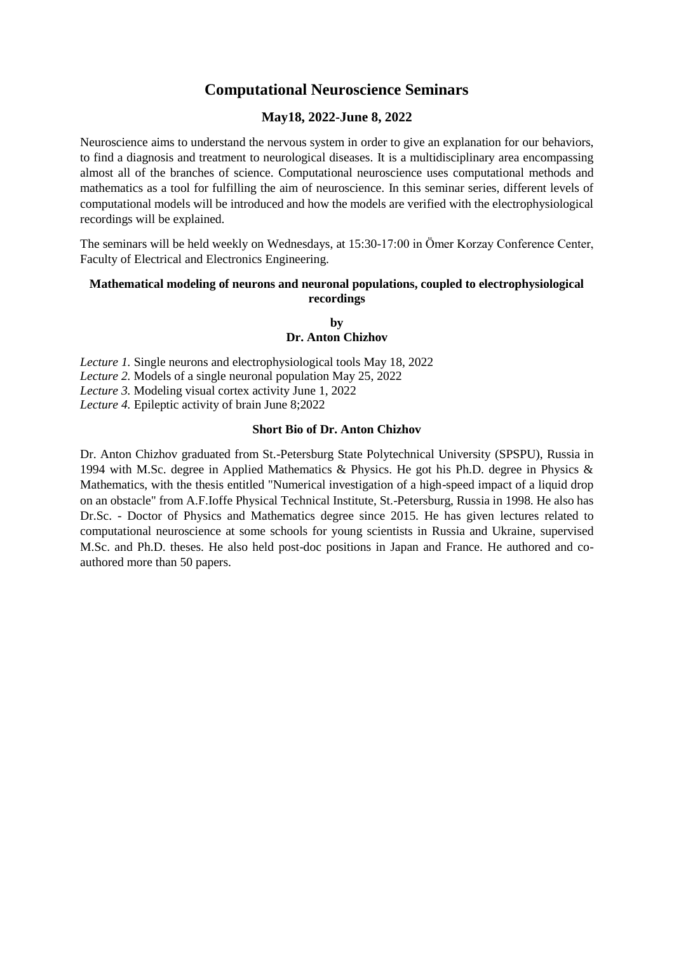# **Computational Neuroscience Seminars**

### **May18, 2022-June 8, 2022**

Neuroscience aims to understand the nervous system in order to give an explanation for our behaviors, to find a diagnosis and treatment to neurological diseases. It is a multidisciplinary area encompassing almost all of the branches of science. Computational neuroscience uses computational methods and mathematics as a tool for fulfilling the aim of neuroscience. In this seminar series, different levels of computational models will be introduced and how the models are verified with the electrophysiological recordings will be explained.

The seminars will be held weekly on Wednesdays, at 15:30-17:00 in Ömer Korzay Conference Center, Faculty of Electrical and Electronics Engineering.

#### **Mathematical modeling of neurons and neuronal populations, coupled to electrophysiological recordings**

**by Dr. Anton Chizhov**

*Lecture 1.* Single neurons and electrophysiological tools May 18, 2022 *Lecture 2.* Models of a single neuronal population May 25, 2022 *Lecture 3.* Modeling visual cortex activity June 1, 2022 *Lecture 4.* Epileptic activity of brain June 8;2022

#### **Short Bio of Dr. Anton Chizhov**

Dr. Anton Chizhov graduated from St.-Petersburg State Polytechnical University (SPSPU), Russia in 1994 with M.Sc. degree in Applied Mathematics & Physics. He got his Ph.D. degree in Physics & Mathematics, with the thesis entitled "Numerical investigation of a high-speed impact of a liquid drop on an obstacle" from A.F.Ioffe Physical Technical Institute, St.-Petersburg, Russia in 1998. He also has Dr.Sc. - Doctor of Physics and Mathematics degree since 2015. He has given lectures related to computational neuroscience at some schools for young scientists in Russia and Ukraine, supervised M.Sc. and Ph.D. theses. He also held post-doc positions in Japan and France. He authored and coauthored more than 50 papers.